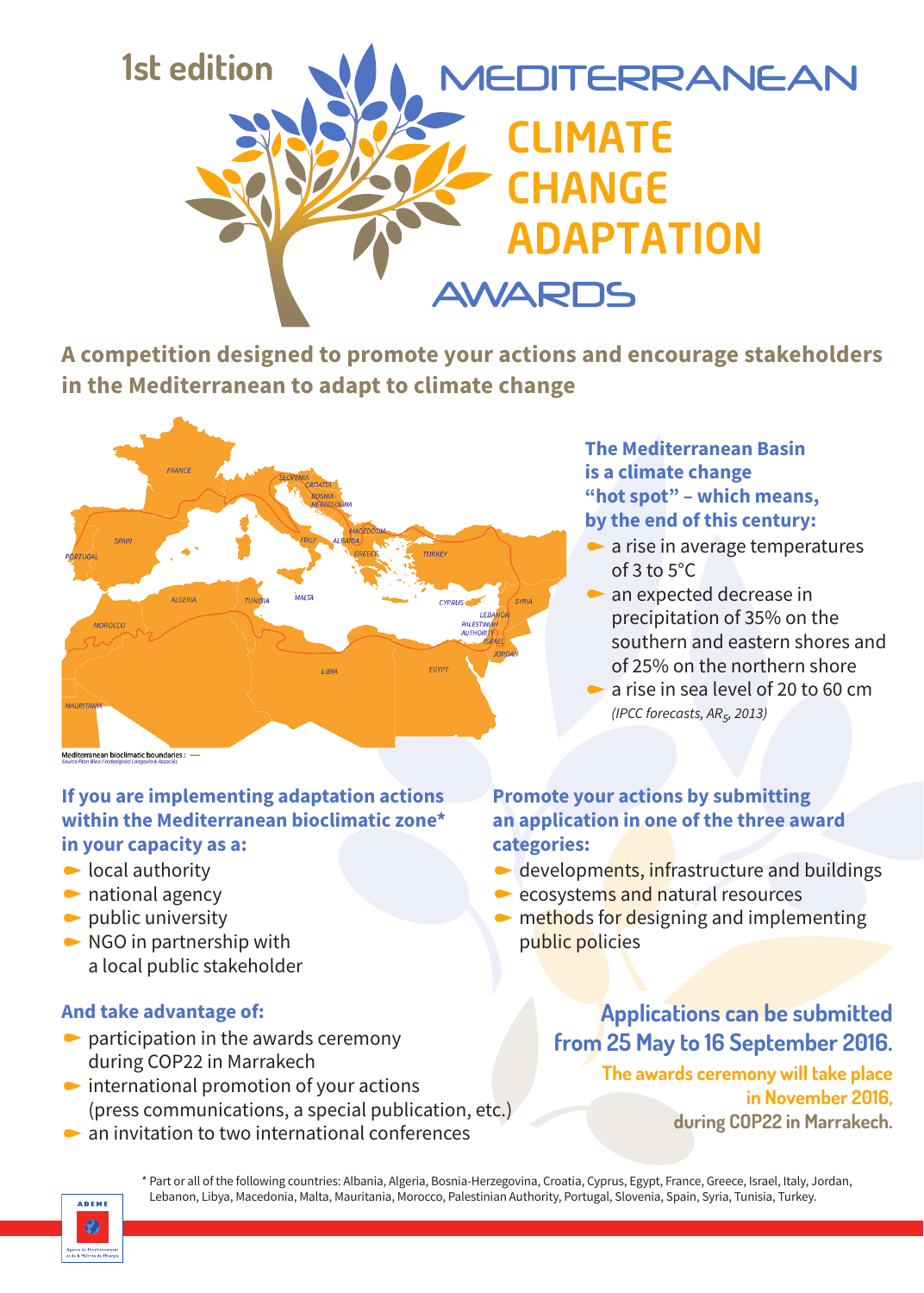

**A competition designed to promote your actions and encourage stakeholders in the Mediterranean to adapt to climate change**



### **If you are implementing adaptation actions within the Mediterranean bioclimatic zone\* in your capacity as a:**

- $\bullet$  local authority
- $\bullet$  national agency
- $\bullet$  public university
- $\triangleright$  NGO in partnership with a local public stakeholder

### **And take advantage of:**

- $\bullet$  participation in the awards ceremony during COP22 in Marrakech
- $\bullet$  international promotion of your actions (press communications, a special publication, etc.)
- $\bullet$  an invitation to two international conferences

## **The Mediterranean Basin is a climate change "hot spot" – which means, by the end of this century:**

- $\bullet$  a rise in average temperatures of  $3$  to  $5^{\circ}$ C
- $\bullet$  an expected decrease in precipitation of 35% on the southern and eastern shores and of 25% on the northern shore
- a rise in sea level of 20 to 60 cm *(IPCC forecasts, AR5, 2013)*

## **Promote your actions by submitting an application in one of the three award categories:**

- $\bullet$  developments, infrastructure and buildings
- $\bullet$  ecosystems and natural resources
- $\blacktriangleright$  methods for designing and implementing public policies

**Applications can be submitted from 25 May to 16 September 2016. The awards ceremony will take place in November 2016, during COP22 in Marrakech.**



\* Part or all of the following countries: Albania, Algeria, Bosnia-Herzegovina, Croatia, Cyprus, Egypt, France, Greece, Israel, Italy, Jordan, Lebanon, Libya, Macedonia, Malta, Mauritania, Morocco, Palestinian Authority, Portugal, Slovenia, Spain, Syria, Tunisia, Turkey.